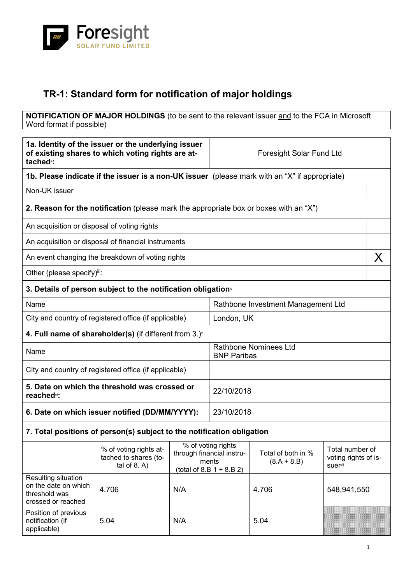

## **TR-1: Standard form for notification of major holdings**

**NOTIFICATION OF MAJOR HOLDINGS** (to be sent to the relevant issuer and to the FCA in Microsoft Word format if possible)

| 1a. Identity of the issuer or the underlying issuer<br>of existing shares to which voting rights are at-<br>tached <sup>i</sup> : |                                                                                              | <b>Foresight Solar Fund Ltd</b>                                                                                                                             |                                                    |       |                                         |   |
|-----------------------------------------------------------------------------------------------------------------------------------|----------------------------------------------------------------------------------------------|-------------------------------------------------------------------------------------------------------------------------------------------------------------|----------------------------------------------------|-------|-----------------------------------------|---|
| 1b. Please indicate if the issuer is a non-UK issuer (please mark with an "X" if appropriate)                                     |                                                                                              |                                                                                                                                                             |                                                    |       |                                         |   |
| Non-UK issuer                                                                                                                     |                                                                                              |                                                                                                                                                             |                                                    |       |                                         |   |
|                                                                                                                                   | <b>2. Reason for the notification</b> (please mark the appropriate box or boxes with an "X") |                                                                                                                                                             |                                                    |       |                                         |   |
| An acquisition or disposal of voting rights                                                                                       |                                                                                              |                                                                                                                                                             |                                                    |       |                                         |   |
|                                                                                                                                   | An acquisition or disposal of financial instruments                                          |                                                                                                                                                             |                                                    |       |                                         |   |
|                                                                                                                                   | An event changing the breakdown of voting rights                                             |                                                                                                                                                             |                                                    |       |                                         | X |
| Other (please specify)iii:                                                                                                        |                                                                                              |                                                                                                                                                             |                                                    |       |                                         |   |
|                                                                                                                                   | 3. Details of person subject to the notification obligation <sup>®</sup>                     |                                                                                                                                                             |                                                    |       |                                         |   |
| Name                                                                                                                              |                                                                                              |                                                                                                                                                             | Rathbone Investment Management Ltd                 |       |                                         |   |
|                                                                                                                                   | City and country of registered office (if applicable)                                        |                                                                                                                                                             | London, UK                                         |       |                                         |   |
|                                                                                                                                   | 4. Full name of shareholder(s) (if different from $3.$ ) $\check{ }$                         |                                                                                                                                                             |                                                    |       |                                         |   |
| Name                                                                                                                              |                                                                                              |                                                                                                                                                             | <b>Rathbone Nominees Ltd</b><br><b>BNP Paribas</b> |       |                                         |   |
| City and country of registered office (if applicable)                                                                             |                                                                                              |                                                                                                                                                             |                                                    |       |                                         |   |
| 5. Date on which the threshold was crossed or<br>reached <sup>vi</sup> :                                                          |                                                                                              |                                                                                                                                                             | 22/10/2018                                         |       |                                         |   |
| 6. Date on which issuer notified (DD/MM/YYYY):                                                                                    |                                                                                              | 23/10/2018                                                                                                                                                  |                                                    |       |                                         |   |
| 7. Total positions of person(s) subject to the notification obligation                                                            |                                                                                              |                                                                                                                                                             |                                                    |       |                                         |   |
|                                                                                                                                   | % of voting rights at-<br>tached to shares (to-<br>tal of $8. A$ )                           | % of voting rights<br>Total of both in %<br>through financial instru-<br>ments<br>$(8.A + 8.B)$<br><b>suer</b> <sup>vii</sup><br>$(total of 8.B 1 + 8.B 2)$ |                                                    |       | Total number of<br>voting rights of is- |   |
| Resulting situation<br>on the date on which<br>threshold was<br>crossed or reached                                                | 4.706                                                                                        | N/A                                                                                                                                                         |                                                    | 4.706 | 548,941,550                             |   |
| Position of previous<br>notification (if<br>applicable)                                                                           | 5.04                                                                                         | N/A                                                                                                                                                         |                                                    | 5.04  |                                         |   |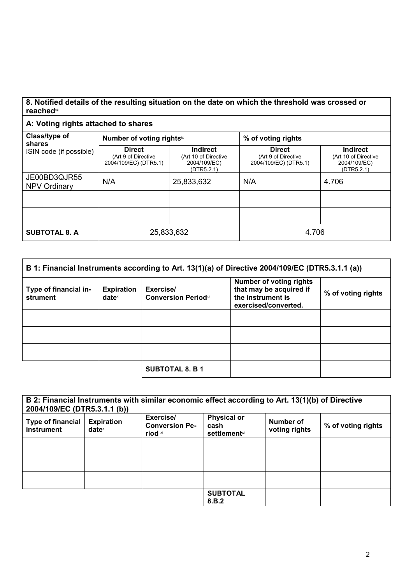## **8. Notified details of the resulting situation on the date on which the threshold was crossed or reached**viii

## **A: Voting rights attached to shares**

| Class/type of<br>shares             | Number of voting rightsix                                     |                                                                       | % of voting rights                                            |                                                                       |  |
|-------------------------------------|---------------------------------------------------------------|-----------------------------------------------------------------------|---------------------------------------------------------------|-----------------------------------------------------------------------|--|
| ISIN code (if possible)             | <b>Direct</b><br>(Art 9 of Directive<br>2004/109/EC) (DTR5.1) | <b>Indirect</b><br>(Art 10 of Directive<br>2004/109/EC)<br>(DTR5.2.1) | <b>Direct</b><br>(Art 9 of Directive<br>2004/109/EC) (DTR5.1) | <b>Indirect</b><br>(Art 10 of Directive<br>2004/109/EC)<br>(DTR5.2.1) |  |
| JE00BD3QJR55<br><b>NPV Ordinary</b> | N/A                                                           | 25,833,632                                                            | N/A                                                           | 4.706                                                                 |  |
|                                     |                                                               |                                                                       |                                                               |                                                                       |  |
|                                     |                                                               |                                                                       |                                                               |                                                                       |  |
| <b>SUBTOTAL 8. A</b>                | 25,833,632                                                    |                                                                       | 4.706                                                         |                                                                       |  |

| B 1: Financial Instruments according to Art. 13(1)(a) of Directive 2004/109/EC (DTR5.3.1.1 (a)) |                                        |                                         |                                                                                                        |                    |
|-------------------------------------------------------------------------------------------------|----------------------------------------|-----------------------------------------|--------------------------------------------------------------------------------------------------------|--------------------|
| Type of financial in-<br>strument                                                               | <b>Expiration</b><br>date <sup>x</sup> | Exercise/<br><b>Conversion Periodxi</b> | <b>Number of voting rights</b><br>that may be acquired if<br>the instrument is<br>exercised/converted. | % of voting rights |
|                                                                                                 |                                        |                                         |                                                                                                        |                    |
|                                                                                                 |                                        |                                         |                                                                                                        |                    |
|                                                                                                 |                                        |                                         |                                                                                                        |                    |
|                                                                                                 |                                        | <b>SUBTOTAL 8. B 1</b>                  |                                                                                                        |                    |

| B 2: Financial Instruments with similar economic effect according to Art. 13(1)(b) of Directive<br>2004/109/EC (DTR5.3.1.1 (b)) |                                        |                                               |                                                     |                            |                    |
|---------------------------------------------------------------------------------------------------------------------------------|----------------------------------------|-----------------------------------------------|-----------------------------------------------------|----------------------------|--------------------|
| <b>Type of financial</b><br>instrument                                                                                          | <b>Expiration</b><br>date <sup>x</sup> | Exercise/<br><b>Conversion Pe-</b><br>riod xi | <b>Physical or</b><br>cash<br><b>settlement</b> xii | Number of<br>voting rights | % of voting rights |
|                                                                                                                                 |                                        |                                               |                                                     |                            |                    |
|                                                                                                                                 |                                        |                                               |                                                     |                            |                    |
|                                                                                                                                 |                                        |                                               |                                                     |                            |                    |
|                                                                                                                                 |                                        |                                               | <b>SUBTOTAL</b><br>8.B.2                            |                            |                    |